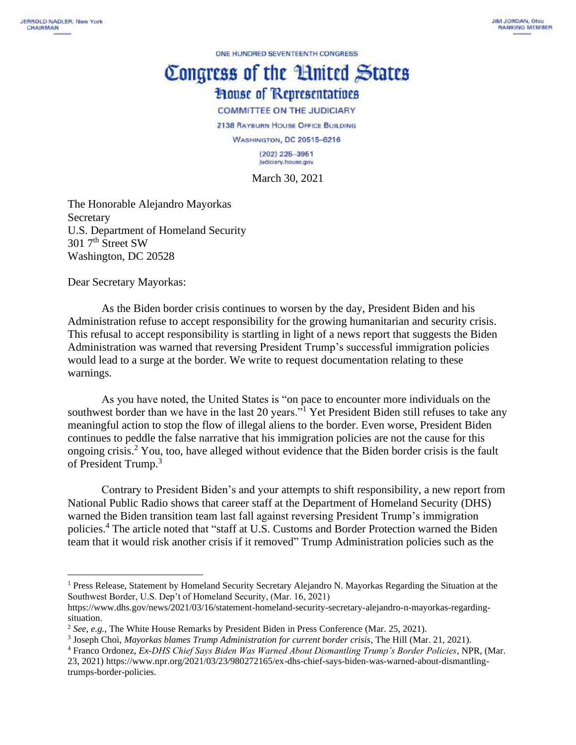ONE HUNDRED SEVENTEENTH CONGRESS

## Congress of the Huited States **House of Representatives**

**COMMITTEE ON THE JUDICIARY** 

2138 RAYBURN HOUSE OFFICE BUILDING

**WASHINGTON, DC 20515-6216**  $(202)$  225-3951 Judiciary.house.gov

March 30, 2021

The Honorable Alejandro Mayorkas Secretary U.S. Department of Homeland Security 301 7<sup>th</sup> Street SW Washington, DC 20528

Dear Secretary Mayorkas:

As the Biden border crisis continues to worsen by the day, President Biden and his Administration refuse to accept responsibility for the growing humanitarian and security crisis. This refusal to accept responsibility is startling in light of a news report that suggests the Biden Administration was warned that reversing President Trump's successful immigration policies would lead to a surge at the border. We write to request documentation relating to these warnings.

As you have noted, the United States is "on pace to encounter more individuals on the southwest border than we have in the last 20 years."<sup>1</sup> Yet President Biden still refuses to take any meaningful action to stop the flow of illegal aliens to the border. Even worse, President Biden continues to peddle the false narrative that his immigration policies are not the cause for this ongoing crisis.<sup>2</sup> You, too, have alleged without evidence that the Biden border crisis is the fault of President Trump.<sup>3</sup>

Contrary to President Biden's and your attempts to shift responsibility, a new report from National Public Radio shows that career staff at the Department of Homeland Security (DHS) warned the Biden transition team last fall against reversing President Trump's immigration policies.<sup>4</sup> The article noted that "staff at U.S. Customs and Border Protection warned the Biden team that it would risk another crisis if it removed" Trump Administration policies such as the

<sup>1</sup> Press Release, Statement by Homeland Security Secretary Alejandro N. Mayorkas Regarding the Situation at the Southwest Border, U.S. Dep't of Homeland Security, (Mar. 16, 2021)

https://www.dhs.gov/news/2021/03/16/statement-homeland-security-secretary-alejandro-n-mayorkas-regardingsituation.

<sup>2</sup> *See, e.g.*, The White House Remarks by President Biden in Press Conference (Mar. 25, 2021).

<sup>3</sup> Joseph Choi, *Mayorkas blames Trump Administration for current border crisis*, The Hill (Mar. 21, 2021).

<sup>4</sup> Franco Ordonez, *Ex-DHS Chief Says Biden Was Warned About Dismantling Trump's Border Policies*, NPR, (Mar. 23, 2021) https://www.npr.org/2021/03/23/980272165/ex-dhs-chief-says-biden-was-warned-about-dismantlingtrumps-border-policies.